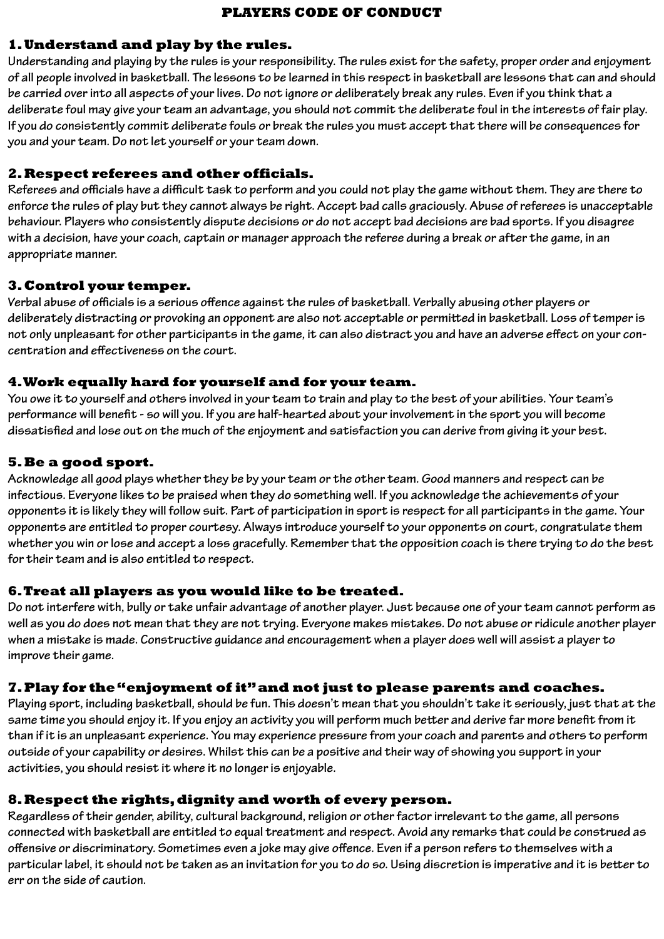#### **PLAYERS CODE OF CONDUCT**

#### **1. Understand and play by the rules.**

**Understanding and playing by the rules is your responsibility. The rules exist for the safety, proper order and enjoyment of all people involved in basketball. The lessons to be learned in this respect in basketball are lessons that can and should be carried over into all aspects of your lives. Do not ignore or deliberately break any rules. Even if you think that a deliberate foul may give your team an advantage, you should not commit the deliberate foul in the interests of fair play. If you do consistently commit deliberate fouls or break the rules you must accept that there will be consequences for you and your team. Do not let yourself or your team down.**

### **2. Respect referees and other officials.**

**Referees and officials have a difficult task to perform and you could not play the game without them. They are there to enforce the rules of play but they cannot always be right. Accept bad calls graciously. Abuse of referees is unacceptable behaviour. Players who consistently dispute decisions or do not accept bad decisions are bad sports. If you disagree with a decision, have your coach, captain or manager approach the referee during a break or after the game, in an appropriate manner.**

#### **3. Control your temper.**

**Verbal abuse of officials is a serious offence against the rules of basketball. Verbally abusing other players or deliberately distracting or provoking an opponent are also not acceptable or permitted in basketball. Loss of temper is not only unpleasant for other participants in the game, it can also distract you and have an adverse effect on your concentration and effectiveness on the court.**

## **4. Work equally hard for yourself and for your team.**

**You owe it to yourself and others involved in your team to train and play to the best of your abilities. Your team's performance will benefit - so will you. If you are half-hearted about your involvement in the sport you will become dissatisfied and lose out on the much of the enjoyment and satisfaction you can derive from giving it your best.**

## **5. Be a good sport.**

**Acknowledge all good plays whether they be by your team or the other team. Good manners and respect can be infectious. Everyone likes to be praised when they do something well. If you acknowledge the achievements of your opponents it is likely they will follow suit. Part of participation in sport is respect for all participants in the game. Your opponents are entitled to proper courtesy. Always introduce yourself to your opponents on court, congratulate them whether you win or lose and accept a loss gracefully. Remember that the opposition coach is there trying to do the best for their team and is also entitled to respect.**

#### **6. Treat all players as you would like to be treated.**

**Do not interfere with, bully or take unfair advantage of another player. Just because one of your team cannot perform as well as you do does not mean that they are not trying. Everyone makes mistakes. Do not abuse or ridicule another player when a mistake is made. Constructive guidance and encouragement when a player does well will assist a player to improve their game.**

#### **7. Play for the "enjoyment of it" and not just to please parents and coaches.**

**Playing sport, including basketball, should be fun. This doesn't mean that you shouldn't take it seriously, just that at the same time you should enjoy it. If you enjoy an activity you will perform much better and derive far more benefit from it than if it is an unpleasant experience. You may experience pressure from your coach and parents and others to perform outside of your capability or desires. Whilst this can be a positive and their way of showing you support in your activities, you should resist it where it no longer is enjoyable.**

#### **8. Respect the rights, dignity and worth of every person.**

**Regardless of their gender, ability, cultural background, religion or other factor irrelevant to the game, all persons connected with basketball are entitled to equal treatment and respect. Avoid any remarks that could be construed as offensive or discriminatory. Sometimes even a joke may give offence. Even if a person refers to themselves with a particular label, it should not be taken as an invitation for you to do so. Using discretion is imperative and it is better to err on the side of caution.**